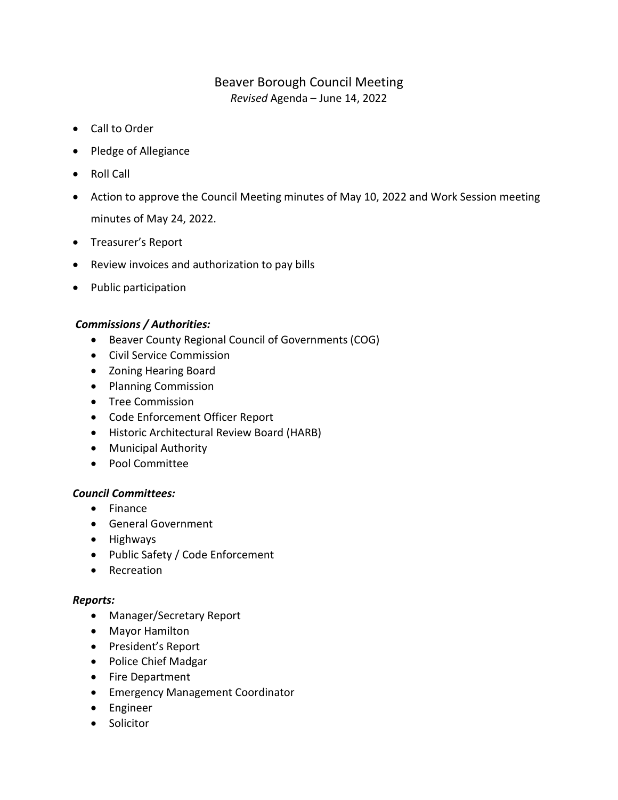# Beaver Borough Council Meeting

*Revised* Agenda – June 14, 2022

- Call to Order
- Pledge of Allegiance
- Roll Call
- Action to approve the Council Meeting minutes of May 10, 2022 and Work Session meeting minutes of May 24, 2022.
- Treasurer's Report
- Review invoices and authorization to pay bills
- Public participation

# *Commissions / Authorities:*

- Beaver County Regional Council of Governments (COG)
- Civil Service Commission
- Zoning Hearing Board
- Planning Commission
- Tree Commission
- Code Enforcement Officer Report
- Historic Architectural Review Board (HARB)
- Municipal Authority
- Pool Committee

# *Council Committees:*

- Finance
- General Government
- Highways
- Public Safety / Code Enforcement
- Recreation

# *Reports:*

- Manager/Secretary Report
- Mayor Hamilton
- President's Report
- Police Chief Madgar
- Fire Department
- Emergency Management Coordinator
- Engineer
- Solicitor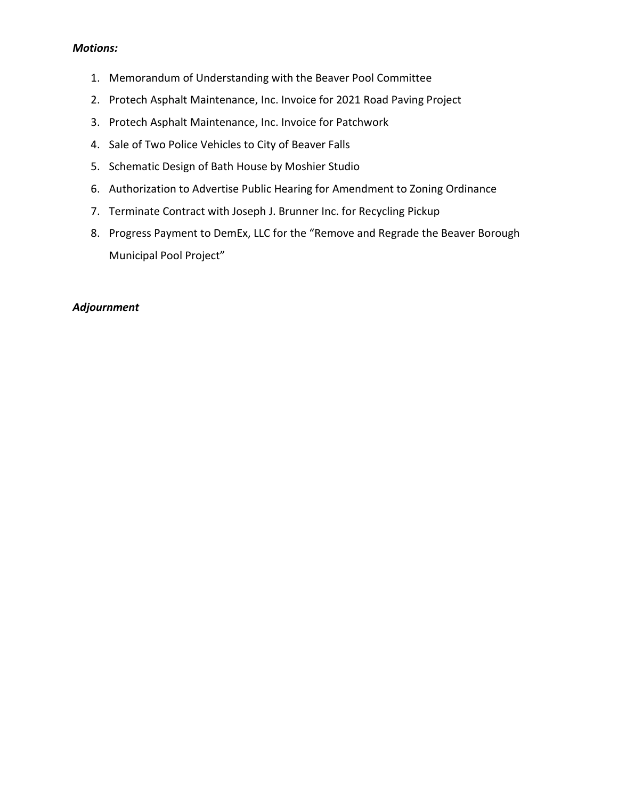#### *Motions:*

- 1. Memorandum of Understanding with the Beaver Pool Committee
- 2. Protech Asphalt Maintenance, Inc. Invoice for 2021 Road Paving Project
- 3. Protech Asphalt Maintenance, Inc. Invoice for Patchwork
- 4. Sale of Two Police Vehicles to City of Beaver Falls
- 5. Schematic Design of Bath House by Moshier Studio
- 6. Authorization to Advertise Public Hearing for Amendment to Zoning Ordinance
- 7. Terminate Contract with Joseph J. Brunner Inc. for Recycling Pickup
- 8. Progress Payment to DemEx, LLC for the "Remove and Regrade the Beaver Borough Municipal Pool Project"

#### *Adjournment*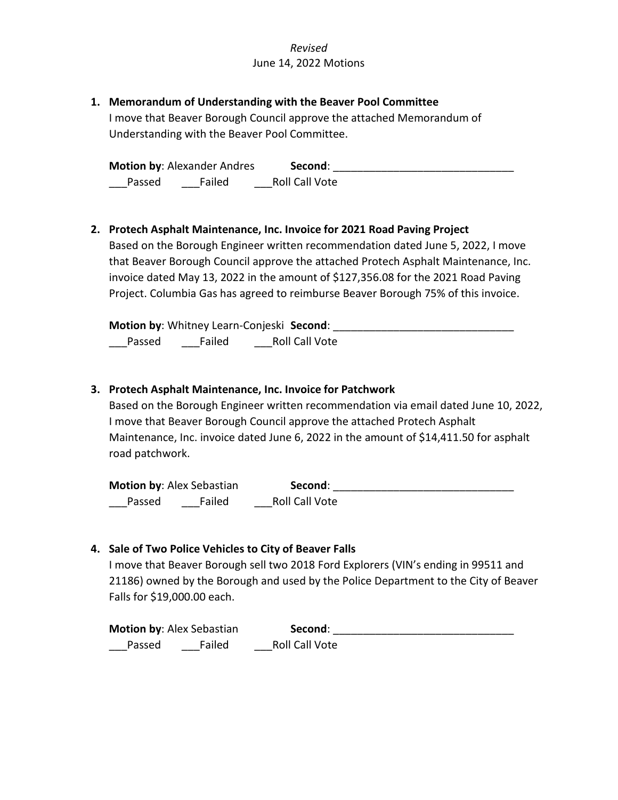## *Revised* June 14, 2022 Motions

- **1. Memorandum of Understanding with the Beaver Pool Committee** I move that Beaver Borough Council approve the attached Memorandum of Understanding with the Beaver Pool Committee. **Motion by: Alexander Andres Second:** Passed Failed Roll Call Vote **2. Protech Asphalt Maintenance, Inc. Invoice for 2021 Road Paving Project** Based on the Borough Engineer written recommendation dated June 5, 2022, I move that Beaver Borough Council approve the attached Protech Asphalt Maintenance, Inc. invoice dated May 13, 2022 in the amount of \$127,356.08 for the 2021 Road Paving Project. Columbia Gas has agreed to reimburse Beaver Borough 75% of this invoice. **Motion by**: Whitney Learn-Conjeski **Second**: Passed Failed Roll Call Vote
- **3. Protech Asphalt Maintenance, Inc. Invoice for Patchwork** Based on the Borough Engineer written recommendation via email dated June 10, 2022, I move that Beaver Borough Council approve the attached Protech Asphalt Maintenance, Inc. invoice dated June 6, 2022 in the amount of \$14,411.50 for asphalt road patchwork.

**Motion by**: Alex Sebastian **Second**: \_\_\_\_\_\_\_\_\_\_\_\_\_\_\_\_\_\_\_\_\_\_\_\_\_\_\_\_\_\_ Passed Failed Roll Call Vote

# **4. Sale of Two Police Vehicles to City of Beaver Falls**

I move that Beaver Borough sell two 2018 Ford Explorers (VIN's ending in 99511 and 21186) owned by the Borough and used by the Police Department to the City of Beaver Falls for \$19,000.00 each.

| <b>Motion by: Alex Sebastian</b> |        | Second:               |  |
|----------------------------------|--------|-----------------------|--|
| Passed                           | Failed | <b>Roll Call Vote</b> |  |